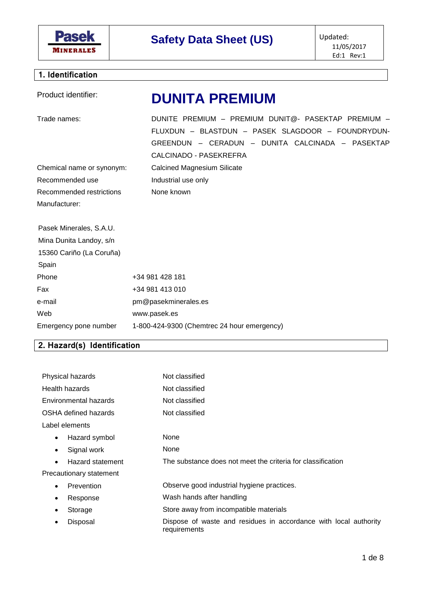

# **Safety Data Sheet (US)** Updated:

## **1. Identification**

| Product identifier:                                                                                                                   | <b>DUNITA PREMIUM</b>                                                                                                                                                                         |  |
|---------------------------------------------------------------------------------------------------------------------------------------|-----------------------------------------------------------------------------------------------------------------------------------------------------------------------------------------------|--|
| Trade names:                                                                                                                          | DUNITE PREMIUM - PREMIUM DUNIT@- PASEKTAP PREMIUM -<br>FLUXDUN - BLASTDUN - PASEK SLAGDOOR - FOUNDRYDUN-<br>GREENDUN - CERADUN - DUNITA CALCINADA - PASEKTAP<br><b>CALCINADO - PASEKREFRA</b> |  |
| Chemical name or synonym:                                                                                                             | <b>Calcined Magnesium Silicate</b>                                                                                                                                                            |  |
| Recommended use                                                                                                                       | Industrial use only                                                                                                                                                                           |  |
| Recommended restrictions                                                                                                              | None known                                                                                                                                                                                    |  |
| Manufacturer:                                                                                                                         |                                                                                                                                                                                               |  |
| Pasek Minerales, S.A.U.                                                                                                               |                                                                                                                                                                                               |  |
| Mina Dunita Landoy, s/n                                                                                                               |                                                                                                                                                                                               |  |
| 15360 Cariño (La Coruña)                                                                                                              |                                                                                                                                                                                               |  |
| Spain                                                                                                                                 |                                                                                                                                                                                               |  |
| Phone                                                                                                                                 | +34 981 428 181                                                                                                                                                                               |  |
| Fax                                                                                                                                   | +34 981 413 010                                                                                                                                                                               |  |
| e-mail                                                                                                                                | pm@pasekminerales.es                                                                                                                                                                          |  |
| Web                                                                                                                                   | www.pasek.es                                                                                                                                                                                  |  |
| Emergency pone number<br>والقوم الكالقوم والملين المراوات<br>$\begin{array}{ccc} \n\bullet & \bullet & \bullet & \bullet \end{array}$ | 1-800-424-9300 (Chemtrec 24 hour emergency)                                                                                                                                                   |  |

#### **2. Hazard(s) Identification**

| Physical hazards              | Not classified                                                                   |  |
|-------------------------------|----------------------------------------------------------------------------------|--|
| Health hazards                | Not classified                                                                   |  |
| Environmental hazards         | Not classified                                                                   |  |
| OSHA defined hazards          | Not classified                                                                   |  |
| Label elements                |                                                                                  |  |
| Hazard symbol<br>$\bullet$    | None                                                                             |  |
| Signal work<br>٠              | None                                                                             |  |
| Hazard statement<br>$\bullet$ | The substance does not meet the criteria for classification                      |  |
| Precautionary statement       |                                                                                  |  |
| Prevention<br>٠               | Observe good industrial hygiene practices.                                       |  |
| Response<br>٠                 | Wash hands after handling                                                        |  |
| Storage                       | Store away from incompatible materials                                           |  |
| Disposal                      | Dispose of waste and residues in accordance with local authority<br>requirements |  |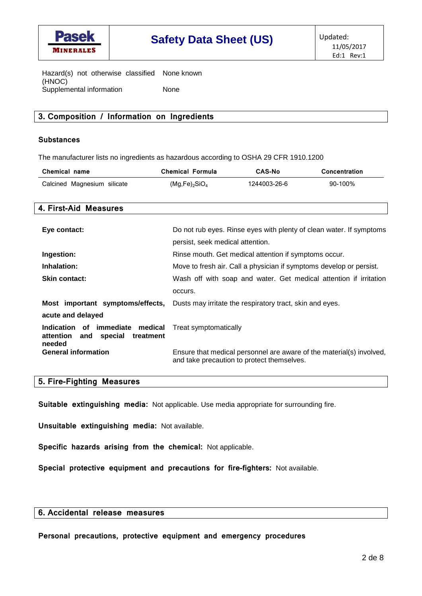

Hazard(s) not otherwise classified None known (HNOC) Supplemental information None

#### **3. Composition / Information on Ingredients**

#### **Substances**

The manufacturer lists no ingredients as hazardous according to OSHA 29 CFR 1910.1200

| Chemical name               | <b>Chemical Formula</b>               | <b>CAS-No</b> | <b>Concentration</b> |
|-----------------------------|---------------------------------------|---------------|----------------------|
| Calcined Magnesium silicate | (Mg,Fe) <sub>2</sub> SiO <sub>4</sub> | 1244003-26-6  | 90-100%              |

#### **4. First-Aid Measures**

| Eye contact:                                                                          | Do not rub eyes. Rinse eyes with plenty of clean water. If symptoms<br>persist, seek medical attention.            |  |
|---------------------------------------------------------------------------------------|--------------------------------------------------------------------------------------------------------------------|--|
| Ingestion:                                                                            | Rinse mouth. Get medical attention if symptoms occur.                                                              |  |
| Inhalation:                                                                           | Move to fresh air. Call a physician if symptoms develop or persist.                                                |  |
| <b>Skin contact:</b>                                                                  | Wash off with soap and water. Get medical attention if irritation                                                  |  |
|                                                                                       | occurs.                                                                                                            |  |
| Most important symptoms/effects,                                                      | Dusts may irritate the respiratory tract, skin and eyes.                                                           |  |
| acute and delayed                                                                     |                                                                                                                    |  |
| Indication of immediate medical<br>attention<br>special<br>treatment<br>and<br>needed | Treat symptomatically                                                                                              |  |
| <b>General information</b>                                                            | Ensure that medical personnel are aware of the material(s) involved,<br>and take precaution to protect themselves. |  |

#### **5. Fire-Fighting Measures**

**Suitable extinguishing media:** Not applicable. Use media appropriate for surrounding fire.

**Unsuitable extinguishing media:** Not available.

**Specific hazards arising from the chemical:** Not applicable.

**Special protective equipment and precautions for fire-fighters:** Not available.

#### **6. Accidental release measures**

**Personal precautions, protective equipment and emergency procedures**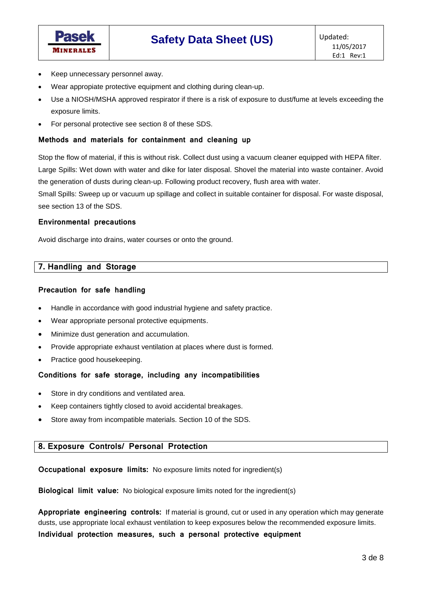

- Keep unnecessary personnel away.
- Wear appropiate protective equipment and clothing during clean-up.
- Use a NIOSH/MSHA approved respirator if there is a risk of exposure to dust/fume at levels exceeding the exposure limits.
- For personal protective see section 8 of these SDS.

#### **Methods and materials for containment and cleaning up**

Stop the flow of material, if this is without risk. Collect dust using a vacuum cleaner equipped with HEPA filter. Large Spills: Wet down with water and dike for later disposal. Shovel the material into waste container. Avoid the generation of dusts during clean-up. Following product recovery, flush area with water.

Small Spills: Sweep up or vacuum up spillage and collect in suitable container for disposal. For waste disposal, see section 13 of the SDS.

#### **Environmental precautions**

Avoid discharge into drains, water courses or onto the ground.

#### **7. Handling and Storage**

#### **Precaution for safe handling**

- Handle in accordance with good industrial hygiene and safety practice.
- Wear appropriate personal protective equipments.
- Minimize dust generation and accumulation.
- Provide appropriate exhaust ventilation at places where dust is formed.
- Practice good housekeeping.

#### **Conditions for safe storage, including any incompatibilities**

- Store in dry conditions and ventilated area.
- Keep containers tightly closed to avoid accidental breakages.
- Store away from incompatible materials. Section 10 of the SDS.

#### **8. Exposure Controls/ Personal Protection**

**Occupational exposure limits:** No exposure limits noted for ingredient(s)

**Biological limit value:** No biological exposure limits noted for the ingredient(s)

**Appropriate engineering controls:** If material is ground, cut or used in any operation which may generate dusts, use appropriate local exhaust ventilation to keep exposures below the recommended exposure limits.

**Individual protection measures, such a personal protective equipment**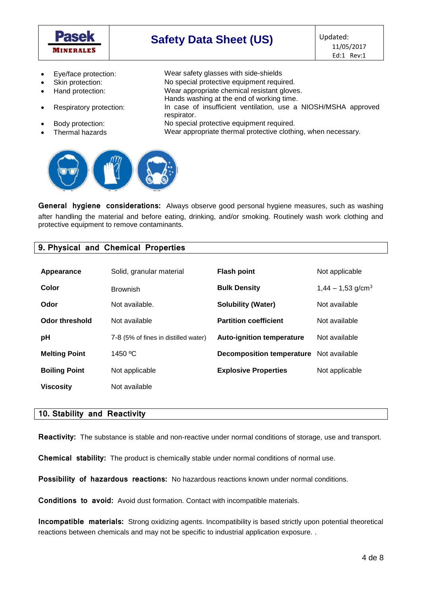

## **Safety Data Sheet (US)** Updated:

- Eye/face protection: Wear safety glasses with side-shields
- Skin protection: No special protective equipment required.
- Hand protection: Wear appropriate chemical resistant gloves.
- 
- 
- 
- Respiratory protection: In case of insufficient ventilation, use a NIOSH/MSHA approved respirator.
	- Body protection: No special protective equipment required.

Hands washing at the end of working time.

Thermal hazards Wear appropriate thermal protective clothing, when necessary.



**General hygiene considerations:** Always observe good personal hygiene measures, such as washing after handling the material and before eating, drinking, and/or smoking. Routinely wash work clothing and protective equipment to remove contaminants.

#### **9. Physical and Chemical Properties**

| Appearance           | Solid, granular material             | <b>Flash point</b>               | Not applicable                  |
|----------------------|--------------------------------------|----------------------------------|---------------------------------|
| Color                | <b>Brownish</b>                      | <b>Bulk Density</b>              | $1,44 - 1,53$ g/cm <sup>3</sup> |
| Odor                 | Not available.                       | <b>Solubility (Water)</b>        | Not available                   |
| Odor threshold       | Not available                        | <b>Partition coefficient</b>     | Not available                   |
| pH                   | 7-8 (5% of fines in distilled water) | <b>Auto-ignition temperature</b> | Not available                   |
| <b>Melting Point</b> | 1450 °C                              | Decomposition temperature        | Not available                   |
| <b>Boiling Point</b> | Not applicable                       | <b>Explosive Properties</b>      | Not applicable                  |
| <b>Viscosity</b>     | Not available                        |                                  |                                 |

#### **10. Stability and Reactivity**

**Reactivity:** The substance is stable and non-reactive under normal conditions of storage, use and transport.

**Chemical stability:** The product is chemically stable under normal conditions of normal use.

**Possibility of hazardous reactions:** No hazardous reactions known under normal conditions.

**Conditions to avoid:** Avoid dust formation. Contact with incompatible materials.

**Incompatible materials:** Strong oxidizing agents. Incompatibility is based strictly upon potential theoretical reactions between chemicals and may not be specific to industrial application exposure. .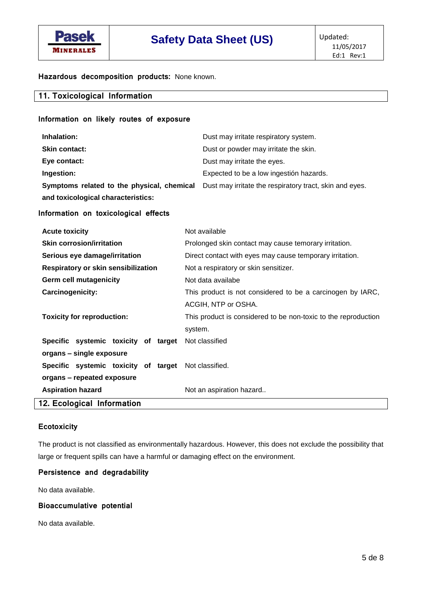

**Hazardous decomposition products:** None known.

| 11. Toxicological Information |  |
|-------------------------------|--|
|                               |  |

### **Information on likely routes of exposure Inhalation:** Dust may irritate respiratory system. **Skin contact:** Dust or powder may irritate the skin. **Eye contact:** Dust may irritate the eyes. **Ingestion:** Expected to be a low ingestión hazards. **Symptoms related to the physical, chemical and toxicological characteristics:** Dust may irritate the respiratory tract, skin and eyes.

#### **Information on toxicological effects**

| <b>Acute toxicity</b>                                | Not available                                                  |  |
|------------------------------------------------------|----------------------------------------------------------------|--|
| <b>Skin corrosion/irritation</b>                     | Prolonged skin contact may cause temorary irritation.          |  |
| Serious eye damage/irritation                        | Direct contact with eyes may cause temporary irritation.       |  |
| Respiratory or skin sensibilization                  | Not a respiratory or skin sensitizer.                          |  |
| <b>Germ cell mutagenicity</b>                        | Not data availabe                                              |  |
| <b>Carcinogenicity:</b>                              | This product is not considered to be a carcinogen by IARC,     |  |
|                                                      | ACGIH, NTP or OSHA.                                            |  |
| <b>Toxicity for reproduction:</b>                    | This product is considered to be non-toxic to the reproduction |  |
|                                                      | system.                                                        |  |
| Specific systemic toxicity of target Not classified  |                                                                |  |
| organs - single exposure                             |                                                                |  |
| Specific systemic toxicity of target Not classified. |                                                                |  |
| organs - repeated exposure                           |                                                                |  |
| <b>Aspiration hazard</b>                             | Not an aspiration hazard                                       |  |
| 12. Ecological Information                           |                                                                |  |

#### **Ecotoxicity**

The product is not classified as environmentally hazardous. However, this does not exclude the possibility that large or frequent spills can have a harmful or damaging effect on the environment.

#### **Persistence and degradability**

No data available.

#### **Bioaccumulative potential**

No data available.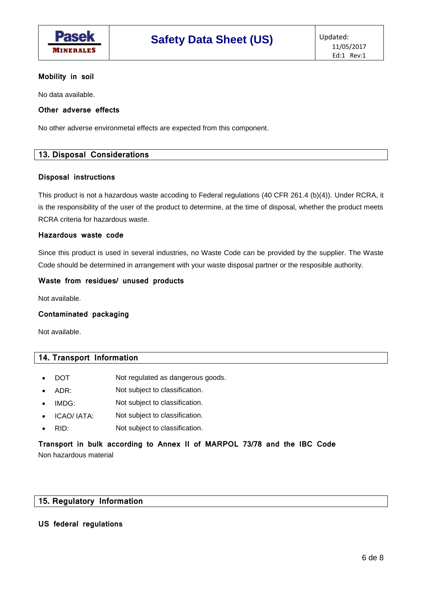

#### **Mobility in soil**

No data available.

#### **Other adverse effects**

No other adverse environmetal effects are expected from this component.

#### **13. Disposal Considerations**

#### **Disposal instructions**

This product is not a hazardous waste accoding to Federal regulations (40 CFR 261.4 (b)(4)). Under RCRA, it is the responsibility of the user of the product to determine, at the time of disposal, whether the product meets RCRA criteria for hazardous waste.

#### **Hazardous waste code**

Since this product is used in several industries, no Waste Code can be provided by the supplier. The Waste Code should be determined in arrangement with your waste disposal partner or the resposible authority.

#### **Waste from residues/ unused products**

Not available.

#### **Contaminated packaging**

Not available.

#### **14. Transport Information**

- DOT Not regulated as dangerous goods.
- ADR: Not subject to classification.
- IMDG: Not subject to classification.
- ICAO/ IATA: Not subject to classification.
- RID: Not subject to classification.

#### **Transport in bulk according to Annex II of MARPOL 73/78 and the IBC Code** Non hazardous material

#### **15. Regulatory Information**

#### **US federal regulations**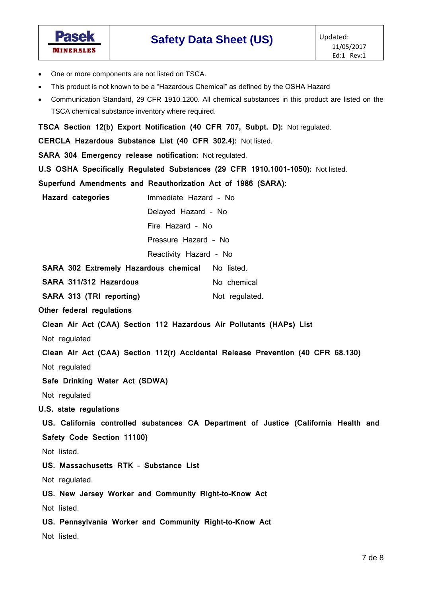

- One or more components are not listed on TSCA.
- This product is not known to be a "Hazardous Chemical" as defined by the OSHA Hazard
- Communication Standard, 29 CFR 1910.1200. All chemical substances in this product are listed on the TSCA chemical substance inventory where required.

**TSCA Section 12(b) Export Notification (40 CFR 707, Subpt. D):** Not regulated.

**CERCLA Hazardous Substance List (40 CFR 302.4):** Not listed.

**SARA 304 Emergency release notification:** Not regulated.

**U.S OSHA Specifically Regulated Substances (29 CFR 1910.1001-1050):** Not listed.

**Superfund Amendments and Reauthorization Act of 1986 (SARA):**

**Hazard categories** Immediate Hazard – No

Delayed Hazard – No

Fire Hazard – No

Pressure Hazard – No

Reactivity Hazard - No

|  |  |  |  | SARA 302 Extremely Hazardous chemical No listed. |
|--|--|--|--|--------------------------------------------------|
|--|--|--|--|--------------------------------------------------|

**SARA 311/312 Hazardous** No chemical

**SARA 313 (TRI reporting)** Not regulated.

**Other federal regulations**

**Clean Air Act (CAA) Section 112 Hazardous Air Pollutants (HAPs) List**

Not regulated

**Clean Air Act (CAA) Section 112(r) Accidental Release Prevention (40 CFR 68.130)**

Not regulated

**Safe Drinking Water Act (SDWA)**

Not regulated

**U.S. state regulations**

**US. California controlled substances CA Department of Justice (California Health and Safety Code Section 11100)**

Not listed.

**US. Massachusetts RTK – Substance List**

Not regulated.

**US. New Jersey Worker and Community Right-to-Know Act**

Not listed.

**US. Pennsylvania Worker and Community Right-to-Know Act**

Not listed.